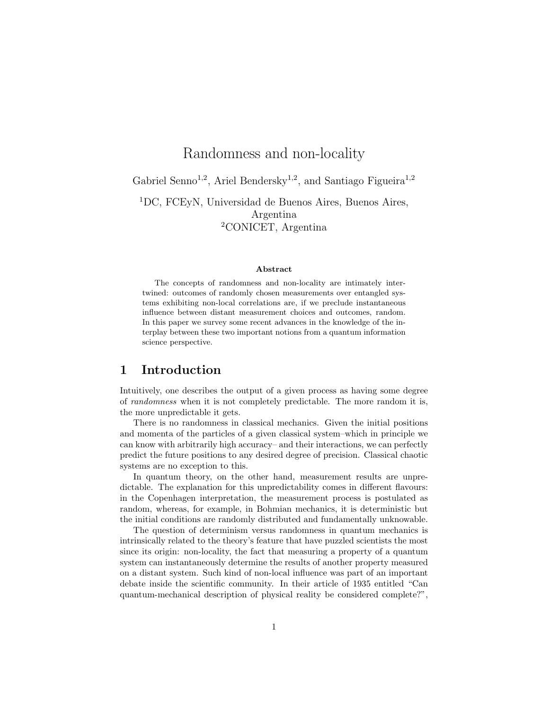# Randomness and non-locality

Gabriel Senno<sup>1,2</sup>, Ariel Bendersky<sup>1,2</sup>, and Santiago Figueira<sup>1,2</sup>

<sup>1</sup>DC, FCEyN, Universidad de Buenos Aires, Buenos Aires, Argentina <sup>2</sup>CONICET, Argentina

#### Abstract

The concepts of randomness and non-locality are intimately intertwined: outcomes of randomly chosen measurements over entangled systems exhibiting non-local correlations are, if we preclude instantaneous influence between distant measurement choices and outcomes, random. In this paper we survey some recent advances in the knowledge of the interplay between these two important notions from a quantum information science perspective.

#### 1 Introduction

Intuitively, one describes the output of a given process as having some degree of randomness when it is not completely predictable. The more random it is, the more unpredictable it gets.

There is no randomness in classical mechanics. Given the initial positions and momenta of the particles of a given classical system–which in principle we can know with arbitrarily high accuracy– and their interactions, we can perfectly predict the future positions to any desired degree of precision. Classical chaotic systems are no exception to this.

In quantum theory, on the other hand, measurement results are unpredictable. The explanation for this unpredictability comes in different flavours: in the Copenhagen interpretation, the measurement process is postulated as random, whereas, for example, in Bohmian mechanics, it is deterministic but the initial conditions are randomly distributed and fundamentally unknowable.

The question of determinism versus randomness in quantum mechanics is intrinsically related to the theory's feature that have puzzled scientists the most since its origin: non-locality, the fact that measuring a property of a quantum system can instantaneously determine the results of another property measured on a distant system. Such kind of non-local influence was part of an important debate inside the scientific community. In their article of 1935 entitled "Can quantum-mechanical description of physical reality be considered complete?",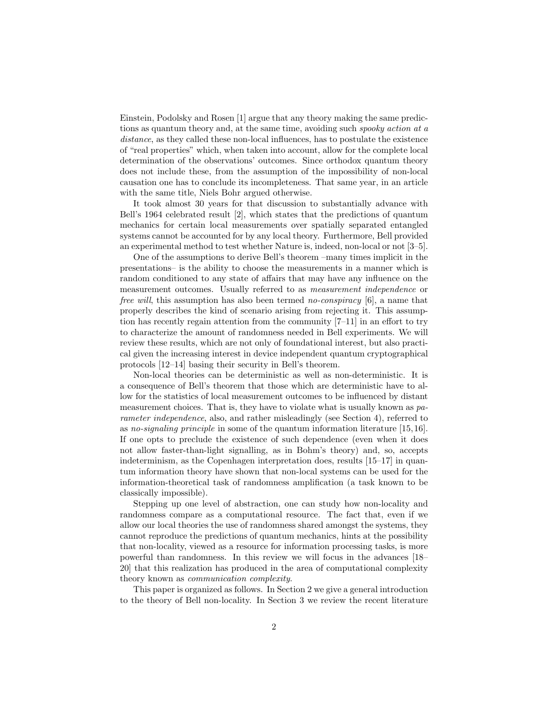Einstein, Podolsky and Rosen [1] argue that any theory making the same predictions as quantum theory and, at the same time, avoiding such spooky action at a distance, as they called these non-local influences, has to postulate the existence of "real properties" which, when taken into account, allow for the complete local determination of the observations' outcomes. Since orthodox quantum theory does not include these, from the assumption of the impossibility of non-local causation one has to conclude its incompleteness. That same year, in an article with the same title, Niels Bohr argued otherwise.

It took almost 30 years for that discussion to substantially advance with Bell's 1964 celebrated result [2], which states that the predictions of quantum mechanics for certain local measurements over spatially separated entangled systems cannot be accounted for by any local theory. Furthermore, Bell provided an experimental method to test whether Nature is, indeed, non-local or not [3–5].

One of the assumptions to derive Bell's theorem –many times implicit in the presentations– is the ability to choose the measurements in a manner which is random conditioned to any state of affairs that may have any influence on the measurement outcomes. Usually referred to as measurement independence or free will, this assumption has also been termed no-conspiracy [6], a name that properly describes the kind of scenario arising from rejecting it. This assumption has recently regain attention from the community [7–11] in an effort to try to characterize the amount of randomness needed in Bell experiments. We will review these results, which are not only of foundational interest, but also practical given the increasing interest in device independent quantum cryptographical protocols [12–14] basing their security in Bell's theorem.

Non-local theories can be deterministic as well as non-deterministic. It is a consequence of Bell's theorem that those which are deterministic have to allow for the statistics of local measurement outcomes to be influenced by distant measurement choices. That is, they have to violate what is usually known as parameter independence, also, and rather misleadingly (see Section 4), referred to as no-signaling principle in some of the quantum information literature [15,16]. If one opts to preclude the existence of such dependence (even when it does not allow faster-than-light signalling, as in Bohm's theory) and, so, accepts indeterminism, as the Copenhagen interpretation does, results [15–17] in quantum information theory have shown that non-local systems can be used for the information-theoretical task of randomness amplification (a task known to be classically impossible).

Stepping up one level of abstraction, one can study how non-locality and randomness compare as a computational resource. The fact that, even if we allow our local theories the use of randomness shared amongst the systems, they cannot reproduce the predictions of quantum mechanics, hints at the possibility that non-locality, viewed as a resource for information processing tasks, is more powerful than randomness. In this review we will focus in the advances [18– 20] that this realization has produced in the area of computational complexity theory known as communication complexity.

This paper is organized as follows. In Section 2 we give a general introduction to the theory of Bell non-locality. In Section 3 we review the recent literature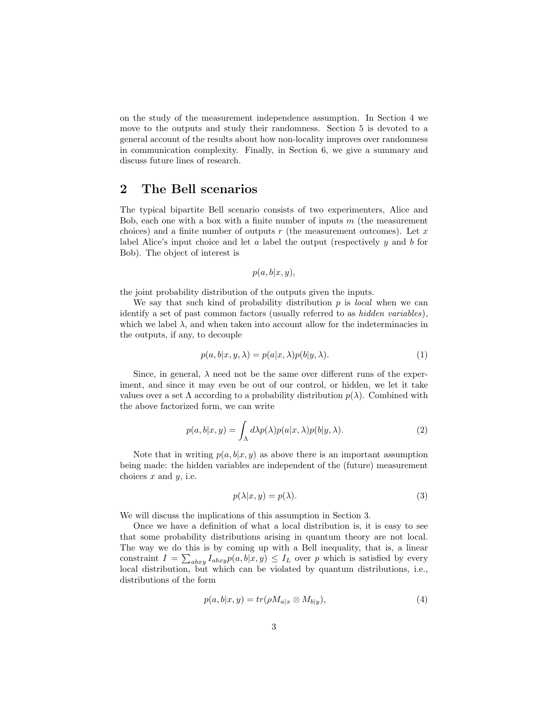on the study of the measurement independence assumption. In Section 4 we move to the outputs and study their randomness. Section 5 is devoted to a general account of the results about how non-locality improves over randomness in communication complexity. Finally, in Section 6, we give a summary and discuss future lines of research.

## 2 The Bell scenarios

The typical bipartite Bell scenario consists of two experimenters, Alice and Bob, each one with a box with a finite number of inputs  $m$  (the measurement choices) and a finite number of outputs  $r$  (the measurement outcomes). Let  $x$ label Alice's input choice and let  $a$  label the output (respectively  $y$  and  $b$  for Bob). The object of interest is

$$
p(a,b|x,y),
$$

the joint probability distribution of the outputs given the inputs.

We say that such kind of probability distribution  $p$  is *local* when we can identify a set of past common factors (usually referred to as hidden variables), which we label  $\lambda$ , and when taken into account allow for the indeterminacies in the outputs, if any, to decouple

$$
p(a, b|x, y, \lambda) = p(a|x, \lambda)p(b|y, \lambda).
$$
 (1)

Since, in general,  $\lambda$  need not be the same over different runs of the experiment, and since it may even be out of our control, or hidden, we let it take values over a set  $\Lambda$  according to a probability distribution  $p(\lambda)$ . Combined with the above factorized form, we can write

$$
p(a,b|x,y) = \int_{\Lambda} d\lambda p(\lambda) p(a|x,\lambda) p(b|y,\lambda).
$$
 (2)

Note that in writing  $p(a, b|x, y)$  as above there is an important assumption being made: the hidden variables are independent of the (future) measurement choices  $x$  and  $y$ , i.e.

$$
p(\lambda | x, y) = p(\lambda). \tag{3}
$$

We will discuss the implications of this assumption in Section 3.

Once we have a definition of what a local distribution is, it is easy to see that some probability distributions arising in quantum theory are not local. The way we do this is by coming up with a Bell inequality, that is, a linear constraint  $I = \sum_{abxy} I_{abxy} p(a, b|x, y) \leq I_L$  over p which is satisfied by every local distribution, but which can be violated by quantum distributions, i.e., distributions of the form

$$
p(a, b|x, y) = tr(\rho M_{a|x} \otimes M_{b|y}), \qquad (4)
$$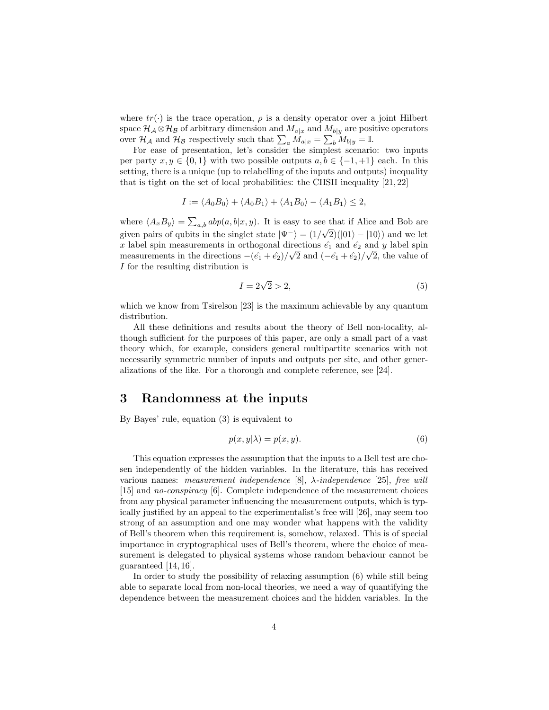where  $tr(\cdot)$  is the trace operation,  $\rho$  is a density operator over a joint Hilbert space  $\mathcal{H}_{\mathcal{A}} \otimes \mathcal{H}_{\mathcal{B}}$  of arbitrary dimension and  $M_{a|x}$  and  $M_{b|y}$  are positive operators over  $\mathcal{H}_{\mathcal{A}}$  and  $\mathcal{H}_{\mathcal{B}}$  respectively such that  $\sum_a M_{a|x} = \sum_b M_{b|y} = \mathbb{I}$ .

For ease of presentation, let's consider the simplest scenario: two inputs per party  $x, y \in \{0, 1\}$  with two possible outputs  $a, b \in \{-1, +1\}$  each. In this setting, there is a unique (up to relabelling of the inputs and outputs) inequality that is tight on the set of local probabilities: the CHSH inequality [21, 22]

$$
I := \langle A_0 B_0 \rangle + \langle A_0 B_1 \rangle + \langle A_1 B_0 \rangle - \langle A_1 B_1 \rangle \le 2,
$$

where  $\langle A_x B_y \rangle = \sum_{a,b} abp(a, b|x, y)$ . It is easy to see that if Alice and Bob are given pairs of qubits in the singlet state  $|\Psi^{-}\rangle = (1/\sqrt{2})(|01\rangle - |10\rangle)$  and we let x label spin measurements in orthogonal directions  $\hat{e}_1$  and  $\hat{e}_2$  and y label spin measurements in the directions  $-(\hat{e_1} + \hat{e_2})/\sqrt{2}$  and  $(-\hat{e_1} + \hat{e_2})/\sqrt{2}$ , the value of I for the resulting distribution is

$$
I = 2\sqrt{2} > 2,\tag{5}
$$

which we know from Tsirelson [23] is the maximum achievable by any quantum distribution.

All these definitions and results about the theory of Bell non-locality, although sufficient for the purposes of this paper, are only a small part of a vast theory which, for example, considers general multipartite scenarios with not necessarily symmetric number of inputs and outputs per site, and other generalizations of the like. For a thorough and complete reference, see [24].

## 3 Randomness at the inputs

By Bayes' rule, equation (3) is equivalent to

$$
p(x, y|\lambda) = p(x, y). \tag{6}
$$

This equation expresses the assumption that the inputs to a Bell test are chosen independently of the hidden variables. In the literature, this has received various names: measurement independence [8],  $\lambda$ -independence [25], free will [15] and no-conspiracy [6]. Complete independence of the measurement choices from any physical parameter influencing the measurement outputs, which is typically justified by an appeal to the experimentalist's free will [26], may seem too strong of an assumption and one may wonder what happens with the validity of Bell's theorem when this requirement is, somehow, relaxed. This is of special importance in cryptographical uses of Bell's theorem, where the choice of measurement is delegated to physical systems whose random behaviour cannot be guaranteed [14, 16].

In order to study the possibility of relaxing assumption (6) while still being able to separate local from non-local theories, we need a way of quantifying the dependence between the measurement choices and the hidden variables. In the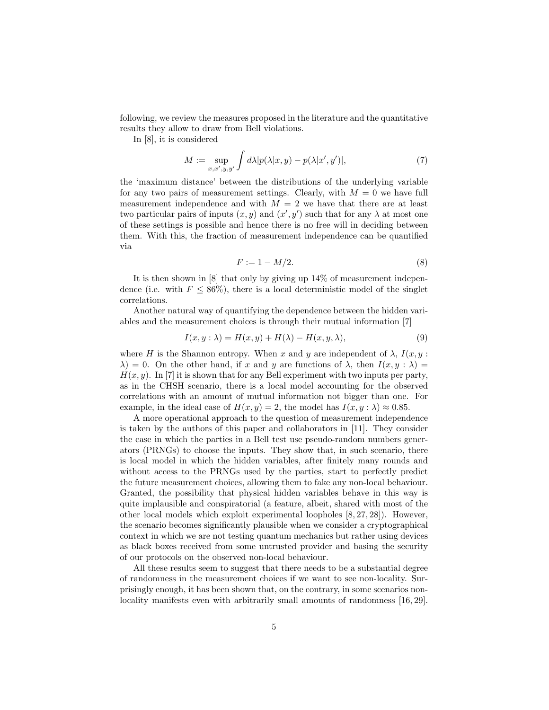following, we review the measures proposed in the literature and the quantitative results they allow to draw from Bell violations.

In [8], it is considered

$$
M := \sup_{x, x', y, y'} \int d\lambda |p(\lambda|x, y) - p(\lambda|x', y')|,
$$
 (7)

the 'maximum distance' between the distributions of the underlying variable for any two pairs of measurement settings. Clearly, with  $M = 0$  we have full measurement independence and with  $M = 2$  we have that there are at least two particular pairs of inputs  $(x, y)$  and  $(x', y')$  such that for any  $\lambda$  at most one of these settings is possible and hence there is no free will in deciding between them. With this, the fraction of measurement independence can be quantified via

$$
F := 1 - M/2. \tag{8}
$$

It is then shown in [8] that only by giving up 14% of measurement independence (i.e. with  $F \le 86\%$ ), there is a local deterministic model of the singlet correlations.

Another natural way of quantifying the dependence between the hidden variables and the measurement choices is through their mutual information [7]

$$
I(x, y : \lambda) = H(x, y) + H(\lambda) - H(x, y, \lambda), \tag{9}
$$

where H is the Shannon entropy. When x and y are independent of  $\lambda$ ,  $I(x, y)$ :  $\lambda$ ) = 0. On the other hand, if x and y are functions of  $\lambda$ , then  $I(x, y : \lambda)$  =  $H(x, y)$ . In [7] it is shown that for any Bell experiment with two inputs per party, as in the CHSH scenario, there is a local model accounting for the observed correlations with an amount of mutual information not bigger than one. For example, in the ideal case of  $H(x, y) = 2$ , the model has  $I(x, y : \lambda) \approx 0.85$ .

A more operational approach to the question of measurement independence is taken by the authors of this paper and collaborators in [11]. They consider the case in which the parties in a Bell test use pseudo-random numbers generators (PRNGs) to choose the inputs. They show that, in such scenario, there is local model in which the hidden variables, after finitely many rounds and without access to the PRNGs used by the parties, start to perfectly predict the future measurement choices, allowing them to fake any non-local behaviour. Granted, the possibility that physical hidden variables behave in this way is quite implausible and conspiratorial (a feature, albeit, shared with most of the other local models which exploit experimental loopholes [8, 27, 28]). However, the scenario becomes significantly plausible when we consider a cryptographical context in which we are not testing quantum mechanics but rather using devices as black boxes received from some untrusted provider and basing the security of our protocols on the observed non-local behaviour.

All these results seem to suggest that there needs to be a substantial degree of randomness in the measurement choices if we want to see non-locality. Surprisingly enough, it has been shown that, on the contrary, in some scenarios nonlocality manifests even with arbitrarily small amounts of randomness  $[16, 29]$ .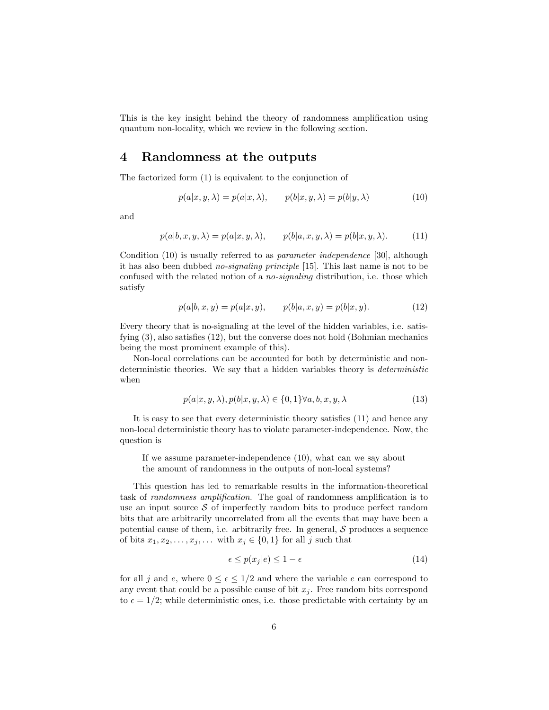This is the key insight behind the theory of randomness amplification using quantum non-locality, which we review in the following section.

#### 4 Randomness at the outputs

The factorized form (1) is equivalent to the conjunction of

$$
p(a|x, y, \lambda) = p(a|x, \lambda), \qquad p(b|x, y, \lambda) = p(b|y, \lambda)
$$
\n(10)

and

$$
p(a|b, x, y, \lambda) = p(a|x, y, \lambda), \qquad p(b|a, x, y, \lambda) = p(b|x, y, \lambda). \tag{11}
$$

Condition (10) is usually referred to as parameter independence [30], although it has also been dubbed no-signaling principle [15]. This last name is not to be confused with the related notion of a no-signaling distribution, i.e. those which satisfy

$$
p(a|b, x, y) = p(a|x, y), \qquad p(b|a, x, y) = p(b|x, y).
$$
 (12)

Every theory that is no-signaling at the level of the hidden variables, i.e. satisfying (3), also satisfies (12), but the converse does not hold (Bohmian mechanics being the most prominent example of this).

Non-local correlations can be accounted for both by deterministic and nondeterministic theories. We say that a hidden variables theory is *deterministic* when

$$
p(a|x, y, \lambda), p(b|x, y, \lambda) \in \{0, 1\} \forall a, b, x, y, \lambda \tag{13}
$$

It is easy to see that every deterministic theory satisfies (11) and hence any non-local deterministic theory has to violate parameter-independence. Now, the question is

If we assume parameter-independence (10), what can we say about the amount of randomness in the outputs of non-local systems?

This question has led to remarkable results in the information-theoretical task of randomness amplification. The goal of randomness amplification is to use an input source  $S$  of imperfectly random bits to produce perfect random bits that are arbitrarily uncorrelated from all the events that may have been a potential cause of them, i.e. arbitrarily free. In general,  $S$  produces a sequence of bits  $x_1, x_2, \ldots, x_j, \ldots$  with  $x_j \in \{0, 1\}$  for all j such that

$$
\epsilon \le p(x_j|e) \le 1 - \epsilon \tag{14}
$$

for all j and e, where  $0 \le \epsilon \le 1/2$  and where the variable e can correspond to any event that could be a possible cause of bit  $x_i$ . Free random bits correspond to  $\epsilon = 1/2$ ; while deterministic ones, i.e. those predictable with certainty by an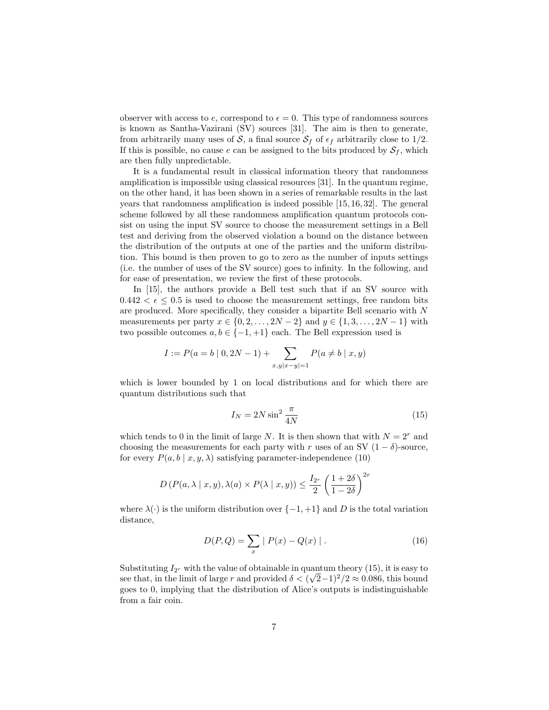observer with access to e, correspond to  $\epsilon = 0$ . This type of randomness sources is known as Santha-Vazirani (SV) sources [31]. The aim is then to generate, from arbitrarily many uses of S, a final source  $S_f$  of  $\epsilon_f$  arbitrarily close to 1/2. If this is possible, no cause e can be assigned to the bits produced by  $S_f$ , which are then fully unpredictable.

It is a fundamental result in classical information theory that randomness amplification is impossible using classical resources [31]. In the quantum regime, on the other hand, it has been shown in a series of remarkable results in the last years that randomness amplification is indeed possible [15, 16, 32]. The general scheme followed by all these randomness amplification quantum protocols consist on using the input SV source to choose the measurement settings in a Bell test and deriving from the observed violation a bound on the distance between the distribution of the outputs at one of the parties and the uniform distribution. This bound is then proven to go to zero as the number of inputs settings (i.e. the number of uses of the SV source) goes to infinity. In the following, and for ease of presentation, we review the first of these protocols.

In [15], the authors provide a Bell test such that if an SV source with  $0.442 < \epsilon \leq 0.5$  is used to choose the measurement settings, free random bits are produced. More specifically, they consider a bipartite Bell scenario with N measurements per party  $x \in \{0, 2, ..., 2N - 2\}$  and  $y \in \{1, 3, ..., 2N - 1\}$  with two possible outcomes  $a, b \in \{-1, +1\}$  each. The Bell expression used is

$$
I := P(a = b | 0, 2N - 1) + \sum_{x, y | x - y | = 1} P(a \neq b | x, y)
$$

which is lower bounded by 1 on local distributions and for which there are quantum distributions such that

$$
I_N = 2N \sin^2 \frac{\pi}{4N} \tag{15}
$$

which tends to 0 in the limit of large N. It is then shown that with  $N = 2<sup>r</sup>$  and choosing the measurements for each party with r uses of an SV  $(1 - \delta)$ -source, for every  $P(a, b \mid x, y, \lambda)$  satisfying parameter-independence (10)

$$
D\left(P(a,\lambda \mid x,y),\lambda(a)\times P(\lambda \mid x,y)\right) \le \frac{I_{2^r}}{2} \left(\frac{1+2\delta}{1-2\delta}\right)^{2r}
$$

where  $\lambda(\cdot)$  is the uniform distribution over  $\{-1, +1\}$  and D is the total variation distance,

$$
D(P,Q) = \sum_{x} | P(x) - Q(x) |.
$$
 (16)

Substituting  $I_{2r}$  with the value of obtainable in quantum theory (15), it is easy to see that, in the limit of large r and provided  $\delta < (\sqrt{2}-1)^2/2 \approx 0.086$ , this bound goes to 0, implying that the distribution of Alice's outputs is indistinguishable from a fair coin.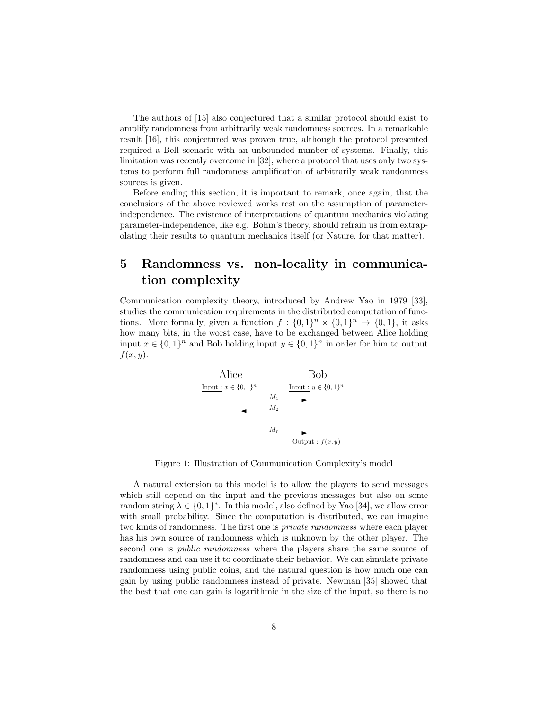The authors of [15] also conjectured that a similar protocol should exist to amplify randomness from arbitrarily weak randomness sources. In a remarkable result [16], this conjectured was proven true, although the protocol presented required a Bell scenario with an unbounded number of systems. Finally, this limitation was recently overcome in [32], where a protocol that uses only two systems to perform full randomness amplification of arbitrarily weak randomness sources is given.

Before ending this section, it is important to remark, once again, that the conclusions of the above reviewed works rest on the assumption of parameterindependence. The existence of interpretations of quantum mechanics violating parameter-independence, like e.g. Bohm's theory, should refrain us from extrapolating their results to quantum mechanics itself (or Nature, for that matter).

# 5 Randomness vs. non-locality in communication complexity

Communication complexity theory, introduced by Andrew Yao in 1979 [33], studies the communication requirements in the distributed computation of functions. More formally, given a function  $f: \{0,1\}^n \times \{0,1\}^n \rightarrow \{0,1\}$ , it asks how many bits, in the worst case, have to be exchanged between Alice holding input  $x \in \{0,1\}^n$  and Bob holding input  $y \in \{0,1\}^n$  in order for him to output  $f(x, y)$ .

Alice  
\nInput: 
$$
x \in \{0, 1\}^n
$$
  
\n  
\nInput:  $y \in \{0, 1\}^n$   
\n  
\nMy  
\n  
\nOutput:  $f(x, y)$ 

Figure 1: Illustration of Communication Complexity's model

A natural extension to this model is to allow the players to send messages which still depend on the input and the previous messages but also on some random string  $\lambda \in \{0,1\}^*$ . In this model, also defined by Yao [34], we allow error with small probability. Since the computation is distributed, we can imagine two kinds of randomness. The first one is private randomness where each player has his own source of randomness which is unknown by the other player. The second one is *public randomness* where the players share the same source of randomness and can use it to coordinate their behavior. We can simulate private randomness using public coins, and the natural question is how much one can gain by using public randomness instead of private. Newman [35] showed that the best that one can gain is logarithmic in the size of the input, so there is no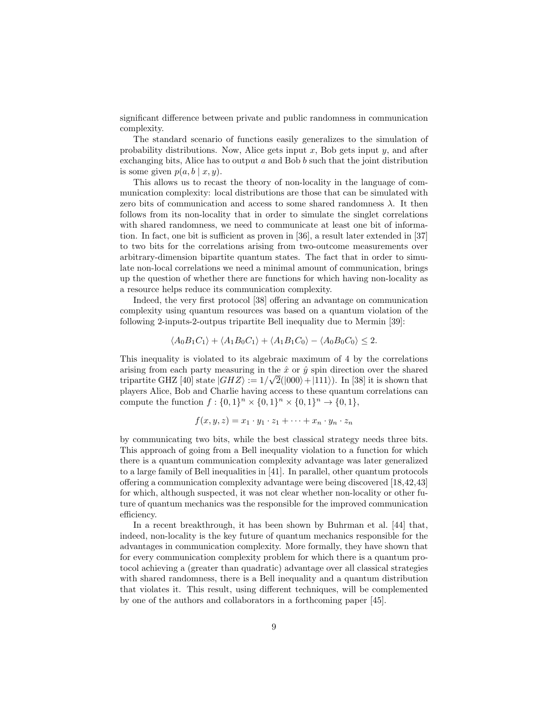significant difference between private and public randomness in communication complexity.

The standard scenario of functions easily generalizes to the simulation of probability distributions. Now, Alice gets input  $x$ , Bob gets input  $y$ , and after exchanging bits, Alice has to output a and Bob  $b$  such that the joint distribution is some given  $p(a, b | x, y)$ .

This allows us to recast the theory of non-locality in the language of communication complexity: local distributions are those that can be simulated with zero bits of communication and access to some shared randomness  $\lambda$ . It then follows from its non-locality that in order to simulate the singlet correlations with shared randomness, we need to communicate at least one bit of information. In fact, one bit is sufficient as proven in [36], a result later extended in [37] to two bits for the correlations arising from two-outcome measurements over arbitrary-dimension bipartite quantum states. The fact that in order to simulate non-local correlations we need a minimal amount of communication, brings up the question of whether there are functions for which having non-locality as a resource helps reduce its communication complexity.

Indeed, the very first protocol [38] offering an advantage on communication complexity using quantum resources was based on a quantum violation of the following 2-inputs-2-outpus tripartite Bell inequality due to Mermin [39]:

$$
\langle A_0 B_1 C_1 \rangle + \langle A_1 B_0 C_1 \rangle + \langle A_1 B_1 C_0 \rangle - \langle A_0 B_0 C_0 \rangle \le 2.
$$

This inequality is violated to its algebraic maximum of 4 by the correlations arising from each party measuring in the  $\hat{x}$  or  $\hat{y}$  spin direction over the shared tripartite GHZ [40] state  $|GHZ\rangle := 1/\sqrt{2}(|000\rangle + |111\rangle)$ . In [38] it is shown that players Alice, Bob and Charlie having access to these quantum correlations can compute the function  $f: \{0,1\}^n \times \{0,1\}^n \times \{0,1\}^n \to \{0,1\},\$ 

$$
f(x,y,z)=x_1\cdot y_1\cdot z_1+\cdots+x_n\cdot y_n\cdot z_n
$$

by communicating two bits, while the best classical strategy needs three bits. This approach of going from a Bell inequality violation to a function for which there is a quantum communication complexity advantage was later generalized to a large family of Bell inequalities in [41]. In parallel, other quantum protocols offering a communication complexity advantage were being discovered [18,42,43] for which, although suspected, it was not clear whether non-locality or other future of quantum mechanics was the responsible for the improved communication efficiency.

In a recent breakthrough, it has been shown by Buhrman et al. [44] that, indeed, non-locality is the key future of quantum mechanics responsible for the advantages in communication complexity. More formally, they have shown that for every communication complexity problem for which there is a quantum protocol achieving a (greater than quadratic) advantage over all classical strategies with shared randomness, there is a Bell inequality and a quantum distribution that violates it. This result, using different techniques, will be complemented by one of the authors and collaborators in a forthcoming paper [45].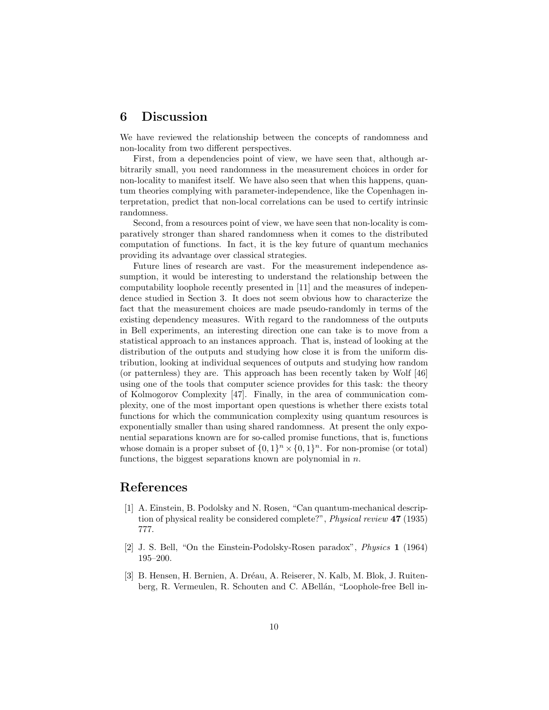#### 6 Discussion

We have reviewed the relationship between the concepts of randomness and non-locality from two different perspectives.

First, from a dependencies point of view, we have seen that, although arbitrarily small, you need randomness in the measurement choices in order for non-locality to manifest itself. We have also seen that when this happens, quantum theories complying with parameter-independence, like the Copenhagen interpretation, predict that non-local correlations can be used to certify intrinsic randomness.

Second, from a resources point of view, we have seen that non-locality is comparatively stronger than shared randomness when it comes to the distributed computation of functions. In fact, it is the key future of quantum mechanics providing its advantage over classical strategies.

Future lines of research are vast. For the measurement independence assumption, it would be interesting to understand the relationship between the computability loophole recently presented in [11] and the measures of independence studied in Section 3. It does not seem obvious how to characterize the fact that the measurement choices are made pseudo-randomly in terms of the existing dependency measures. With regard to the randomness of the outputs in Bell experiments, an interesting direction one can take is to move from a statistical approach to an instances approach. That is, instead of looking at the distribution of the outputs and studying how close it is from the uniform distribution, looking at individual sequences of outputs and studying how random (or patternless) they are. This approach has been recently taken by Wolf [46] using one of the tools that computer science provides for this task: the theory of Kolmogorov Complexity [47]. Finally, in the area of communication complexity, one of the most important open questions is whether there exists total functions for which the communication complexity using quantum resources is exponentially smaller than using shared randomness. At present the only exponential separations known are for so-called promise functions, that is, functions whose domain is a proper subset of  $\{0,1\}^n \times \{0,1\}^n$ . For non-promise (or total) functions, the biggest separations known are polynomial in  $n$ .

## References

- [1] A. Einstein, B. Podolsky and N. Rosen, "Can quantum-mechanical description of physical reality be considered complete?", Physical review 47 (1935) 777.
- [2] J. S. Bell, "On the Einstein-Podolsky-Rosen paradox", Physics 1 (1964) 195–200.
- [3] B. Hensen, H. Bernien, A. Dréau, A. Reiserer, N. Kalb, M. Blok, J. Ruitenberg, R. Vermeulen, R. Schouten and C. ABellán, "Loophole-free Bell in-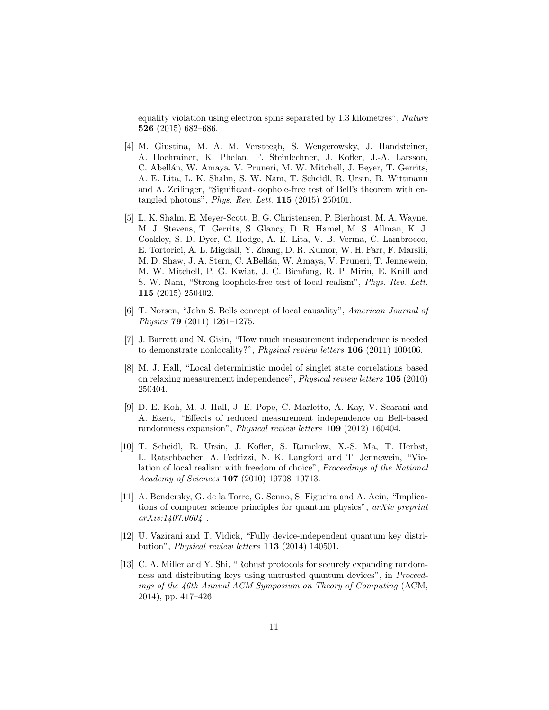equality violation using electron spins separated by 1.3 kilometres", Nature 526 (2015) 682–686.

- [4] M. Giustina, M. A. M. Versteegh, S. Wengerowsky, J. Handsteiner, A. Hochrainer, K. Phelan, F. Steinlechner, J. Kofler, J.-A. Larsson, C. Abellán, W. Amaya, V. Pruneri, M. W. Mitchell, J. Beyer, T. Gerrits, A. E. Lita, L. K. Shalm, S. W. Nam, T. Scheidl, R. Ursin, B. Wittmann and A. Zeilinger, "Significant-loophole-free test of Bell's theorem with entangled photons", Phys. Rev. Lett. 115 (2015) 250401.
- [5] L. K. Shalm, E. Meyer-Scott, B. G. Christensen, P. Bierhorst, M. A. Wayne, M. J. Stevens, T. Gerrits, S. Glancy, D. R. Hamel, M. S. Allman, K. J. Coakley, S. D. Dyer, C. Hodge, A. E. Lita, V. B. Verma, C. Lambrocco, E. Tortorici, A. L. Migdall, Y. Zhang, D. R. Kumor, W. H. Farr, F. Marsili, M. D. Shaw, J. A. Stern, C. ABellán, W. Amaya, V. Pruneri, T. Jennewein, M. W. Mitchell, P. G. Kwiat, J. C. Bienfang, R. P. Mirin, E. Knill and S. W. Nam, "Strong loophole-free test of local realism", Phys. Rev. Lett. 115 (2015) 250402.
- [6] T. Norsen, "John S. Bells concept of local causality", American Journal of Physics 79 (2011) 1261–1275.
- [7] J. Barrett and N. Gisin, "How much measurement independence is needed to demonstrate nonlocality?", Physical review letters 106 (2011) 100406.
- [8] M. J. Hall, "Local deterministic model of singlet state correlations based on relaxing measurement independence", Physical review letters 105 (2010) 250404.
- [9] D. E. Koh, M. J. Hall, J. E. Pope, C. Marletto, A. Kay, V. Scarani and A. Ekert, "Effects of reduced measurement independence on Bell-based randomness expansion", Physical review letters 109 (2012) 160404.
- [10] T. Scheidl, R. Ursin, J. Kofler, S. Ramelow, X.-S. Ma, T. Herbst, L. Ratschbacher, A. Fedrizzi, N. K. Langford and T. Jennewein, "Violation of local realism with freedom of choice", Proceedings of the National Academy of Sciences 107 (2010) 19708–19713.
- [11] A. Bendersky, G. de la Torre, G. Senno, S. Figueira and A. Acin, "Implications of computer science principles for quantum physics", arXiv preprint arXiv:1407.0604 .
- [12] U. Vazirani and T. Vidick, "Fully device-independent quantum key distribution", Physical review letters 113 (2014) 140501.
- [13] C. A. Miller and Y. Shi, "Robust protocols for securely expanding randomness and distributing keys using untrusted quantum devices", in Proceedings of the 46th Annual ACM Symposium on Theory of Computing (ACM, 2014), pp. 417–426.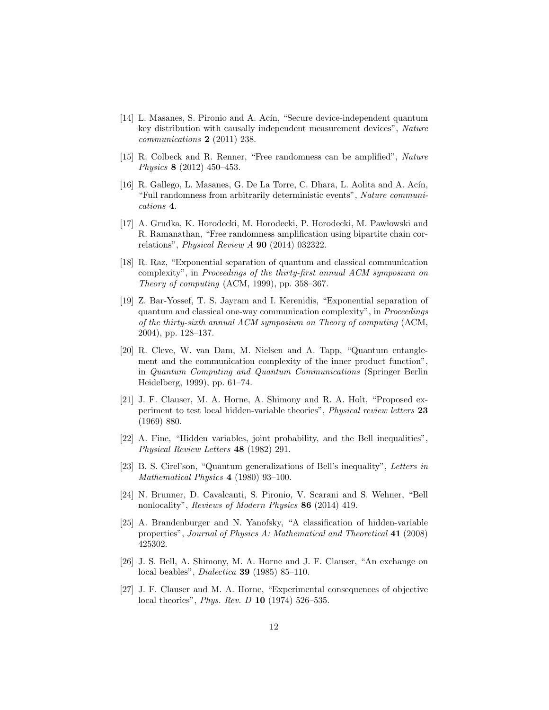- [14] L. Masanes, S. Pironio and A. Acín, "Secure device-independent quantum key distribution with causally independent measurement devices", Nature communications 2 (2011) 238.
- [15] R. Colbeck and R. Renner, "Free randomness can be amplified", Nature Physics 8 (2012) 450–453.
- [16] R. Gallego, L. Masanes, G. De La Torre, C. Dhara, L. Aolita and A. Acín, "Full randomness from arbitrarily deterministic events", Nature communications 4.
- [17] A. Grudka, K. Horodecki, M. Horodecki, P. Horodecki, M. Pawłowski and R. Ramanathan, "Free randomness amplification using bipartite chain correlations", Physical Review A 90 (2014) 032322.
- [18] R. Raz, "Exponential separation of quantum and classical communication complexity", in Proceedings of the thirty-first annual ACM symposium on Theory of computing (ACM, 1999), pp. 358–367.
- [19] Z. Bar-Yossef, T. S. Jayram and I. Kerenidis, "Exponential separation of quantum and classical one-way communication complexity", in Proceedings of the thirty-sixth annual ACM symposium on Theory of computing (ACM, 2004), pp. 128–137.
- [20] R. Cleve, W. van Dam, M. Nielsen and A. Tapp, "Quantum entanglement and the communication complexity of the inner product function", in Quantum Computing and Quantum Communications (Springer Berlin Heidelberg, 1999), pp. 61–74.
- [21] J. F. Clauser, M. A. Horne, A. Shimony and R. A. Holt, "Proposed experiment to test local hidden-variable theories", Physical review letters 23 (1969) 880.
- [22] A. Fine, "Hidden variables, joint probability, and the Bell inequalities", Physical Review Letters 48 (1982) 291.
- [23] B. S. Cirel'son, "Quantum generalizations of Bell's inequality", Letters in Mathematical Physics 4 (1980) 93–100.
- [24] N. Brunner, D. Cavalcanti, S. Pironio, V. Scarani and S. Wehner, "Bell nonlocality", Reviews of Modern Physics 86 (2014) 419.
- [25] A. Brandenburger and N. Yanofsky, "A classification of hidden-variable properties", Journal of Physics A: Mathematical and Theoretical 41 (2008) 425302.
- [26] J. S. Bell, A. Shimony, M. A. Horne and J. F. Clauser, "An exchange on local beables", Dialectica 39 (1985) 85–110.
- [27] J. F. Clauser and M. A. Horne, "Experimental consequences of objective local theories", Phys. Rev. D 10 (1974) 526–535.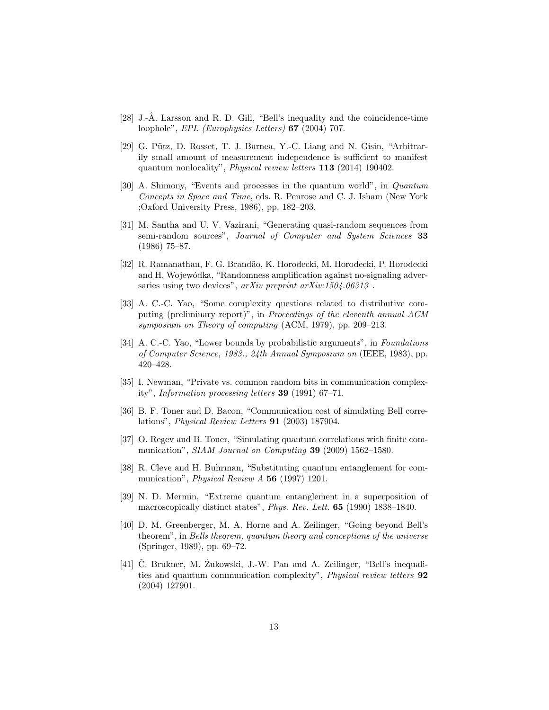- [28] J.-Å. Larsson and R. D. Gill, "Bell's inequality and the coincidence-time loophole", EPL (Europhysics Letters) 67 (2004) 707.
- [29] G. Pütz, D. Rosset, T. J. Barnea, Y.-C. Liang and N. Gisin, "Arbitrarily small amount of measurement independence is sufficient to manifest quantum nonlocality", Physical review letters 113 (2014) 190402.
- [30] A. Shimony, "Events and processes in the quantum world", in Quantum Concepts in Space and Time, eds. R. Penrose and C. J. Isham (New York ;Oxford University Press, 1986), pp. 182–203.
- [31] M. Santha and U. V. Vazirani, "Generating quasi-random sequences from semi-random sources", Journal of Computer and System Sciences 33 (1986) 75–87.
- [32] R. Ramanathan, F. G. Brand˜ao, K. Horodecki, M. Horodecki, P. Horodecki and H. Wojewódka, "Randomness amplification against no-signaling adversaries using two devices", arXiv preprint arXiv:1504.06313.
- [33] A. C.-C. Yao, "Some complexity questions related to distributive computing (preliminary report)", in Proceedings of the eleventh annual ACM symposium on Theory of computing (ACM, 1979), pp. 209–213.
- [34] A. C.-C. Yao, "Lower bounds by probabilistic arguments", in Foundations of Computer Science, 1983., 24th Annual Symposium on (IEEE, 1983), pp. 420–428.
- [35] I. Newman, "Private vs. common random bits in communication complexity", Information processing letters 39 (1991) 67–71.
- [36] B. F. Toner and D. Bacon, "Communication cost of simulating Bell correlations", Physical Review Letters 91 (2003) 187904.
- [37] O. Regev and B. Toner, "Simulating quantum correlations with finite communication", SIAM Journal on Computing 39 (2009) 1562-1580.
- [38] R. Cleve and H. Buhrman, "Substituting quantum entanglement for communication", *Physical Review A* 56 (1997) 1201.
- [39] N. D. Mermin, "Extreme quantum entanglement in a superposition of macroscopically distinct states", Phys. Rev. Lett. 65 (1990) 1838–1840.
- [40] D. M. Greenberger, M. A. Horne and A. Zeilinger, "Going beyond Bell's theorem", in Bells theorem, quantum theory and conceptions of the universe (Springer, 1989), pp. 69–72.
- [41] C. Brukner, M. Zukowski, J.-W. Pan and A. Zeilinger, "Bell's inequalities and quantum communication complexity", Physical review letters 92 (2004) 127901.